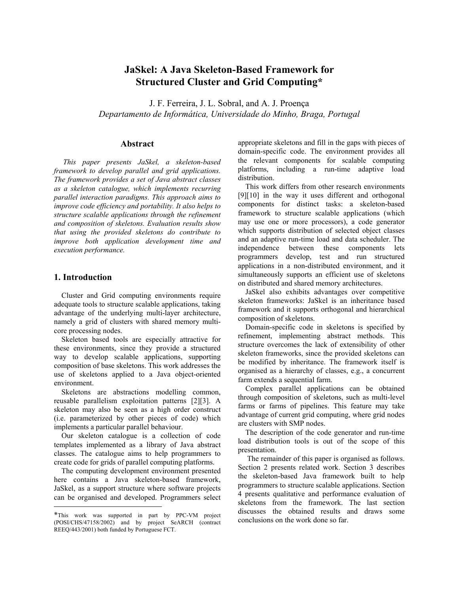# **JaSkel: A Java Skeleton-Based Framework for Structured Cluster and Grid Computing\***

J. F. Ferreira, J. L. Sobral, and A. J. Proença *Departamento de Informática, Universidade do Minho, Braga, Portugal* 

# **Abstract**

*This paper presents JaSkel, a skeleton-based framework to develop parallel and grid applications. The framework provides a set of Java abstract classes as a skeleton catalogue, which implements recurring parallel interaction paradigms. This approach aims to improve code efficiency and portability. It also helps to structure scalable applications through the refinement and composition of skeletons. Evaluation results show that using the provided skeletons do contribute to improve both application development time and execution performance.* 

# **1. Introduction**

 $\overline{a}$ 

Cluster and Grid computing environments require adequate tools to structure scalable applications, taking advantage of the underlying multi-layer architecture, namely a grid of clusters with shared memory multicore processing nodes.

Skeleton based tools are especially attractive for these environments, since they provide a structured way to develop scalable applications, supporting composition of base skeletons. This work addresses the use of skeletons applied to a Java object-oriented environment.

Skeletons are abstractions modelling common, reusable parallelism exploitation patterns [2][3]. A skeleton may also be seen as a high order construct (i.e. parameterized by other pieces of code) which implements a particular parallel behaviour.

Our skeleton catalogue is a collection of code templates implemented as a library of Java abstract classes. The catalogue aims to help programmers to create code for grids of parallel computing platforms.

The computing development environment presented here contains a Java skeleton-based framework, JaSkel, as a support structure where software projects can be organised and developed. Programmers select

appropriate skeletons and fill in the gaps with pieces of domain-specific code. The environment provides all the relevant components for scalable computing platforms, including a run-time adaptive load distribution.

This work differs from other research environments [9][10] in the way it uses different and orthogonal components for distinct tasks: a skeleton-based framework to structure scalable applications (which may use one or more processors), a code generator which supports distribution of selected object classes and an adaptive run-time load and data scheduler. The independence between these components lets programmers develop, test and run structured applications in a non-distributed environment, and it simultaneously supports an efficient use of skeletons on distributed and shared memory architectures.

JaSkel also exhibits advantages over competitive skeleton frameworks: JaSkel is an inheritance based framework and it supports orthogonal and hierarchical composition of skeletons.

Domain-specific code in skeletons is specified by refinement, implementing abstract methods. This structure overcomes the lack of extensibility of other skeleton frameworks, since the provided skeletons can be modified by inheritance. The framework itself is organised as a hierarchy of classes, e.g., a concurrent farm extends a sequential farm.

Complex parallel applications can be obtained through composition of skeletons, such as multi-level farms or farms of pipelines. This feature may take advantage of current grid computing, where grid nodes are clusters with SMP nodes.

The description of the code generator and run-time load distribution tools is out of the scope of this presentation.

The remainder of this paper is organised as follows. Section 2 presents related work. Section 3 describes the skeleton-based Java framework built to help programmers to structure scalable applications. Section 4 presents qualitative and performance evaluation of skeletons from the framework. The last section discusses the obtained results and draws some conclusions on the work done so far.

<sup>\*</sup>This work was supported in part by PPC-VM project (POSI/CHS/47158/2002) and by project SeARCH (contract REEQ/443/2001) both funded by Portuguese FCT.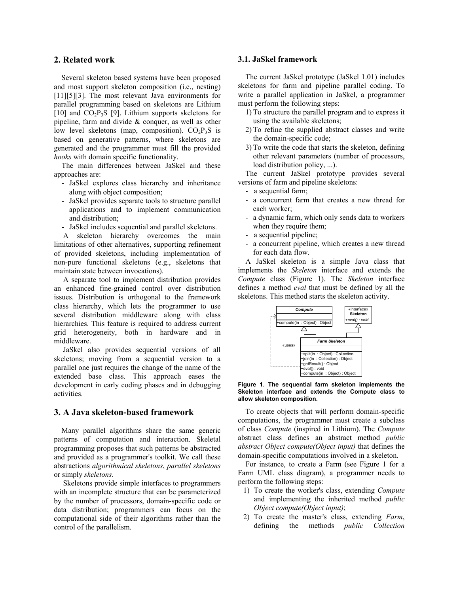#### **2. Related work**

Several skeleton based systems have been proposed and most support skeleton composition (i.e., nesting) [11][5][3]. The most relevant Java environments for parallel programming based on skeletons are Lithium [10] and  $CO<sub>2</sub>P<sub>3</sub>S$  [9]. Lithium supports skeletons for pipeline, farm and divide & conquer, as well as other low level skeletons (map, composition).  $CO<sub>2</sub>P<sub>3</sub>S$  is based on generative patterns, where skeletons are generated and the programmer must fill the provided *hooks* with domain specific functionality.

The main differences between JaSkel and these approaches are:

- JaSkel explores class hierarchy and inheritance along with object composition;
- JaSkel provides separate tools to structure parallel applications and to implement communication and distribution;
- JaSkel includes sequential and parallel skeletons.

A skeleton hierarchy overcomes the main limitations of other alternatives, supporting refinement of provided skeletons, including implementation of non-pure functional skeletons (e.g., skeletons that maintain state between invocations).

A separate tool to implement distribution provides an enhanced fine-grained control over distribution issues. Distribution is orthogonal to the framework class hierarchy, which lets the programmer to use several distribution middleware along with class hierarchies. This feature is required to address current grid heterogeneity, both in hardware and in middleware.

JaSkel also provides sequential versions of all skeletons; moving from a sequential version to a parallel one just requires the change of the name of the extended base class. This approach eases the development in early coding phases and in debugging activities.

## **3. A Java skeleton-based framework**

Many parallel algorithms share the same generic patterns of computation and interaction. Skeletal programming proposes that such patterns be abstracted and provided as a programmer's toolkit. We call these abstractions *algorithmical skeletons*, *parallel skeletons* or simply *skeletons*.

Skeletons provide simple interfaces to programmers with an incomplete structure that can be parameterized by the number of processors, domain-specific code or data distribution; programmers can focus on the computational side of their algorithms rather than the control of the parallelism.

#### **3.1. JaSkel framework**

The current JaSkel prototype (JaSkel 1.01) includes skeletons for farm and pipeline parallel coding. To write a parallel application in JaSkel, a programmer must perform the following steps:

- 1) To structure the parallel program and to express it using the available skeletons;
- 2) To refine the supplied abstract classes and write the domain-specific code;
- 3) To write the code that starts the skeleton, defining other relevant parameters (number of processors, load distribution policy, ...).

The current JaSkel prototype provides several versions of farm and pipeline skeletons:

- a sequential farm;
- a concurrent farm that creates a new thread for each worker;
- a dynamic farm, which only sends data to workers when they require them;
- a sequential pipeline;
- a concurrent pipeline, which creates a new thread for each data flow.

A JaSkel skeleton is a simple Java class that implements the *Skeleton* interface and extends the *Compute* class (Figure 1). The *Skeleton* interface defines a method *eval* that must be defined by all the skeletons. This method starts the skeleton activity.



**Figure 1. The sequential farm skeleton implements the Skeleton interface and extends the Compute class to allow skeleton composition.** 

To create objects that will perform domain-specific computations, the programmer must create a subclass of class *Compute* (inspired in Lithium). The *Compute* abstract class defines an abstract method *public abstract Object compute(Object input)* that defines the domain-specific computations involved in a skeleton.

For instance, to create a Farm (see Figure 1 for a Farm UML class diagram), a programmer needs to perform the following steps:

- 1) To create the worker's class, extending *Compute* and implementing the inherited method *public Object compute(Object input)*;
- 2) To create the master's class, extending *Farm*, defining the methods *public Collection*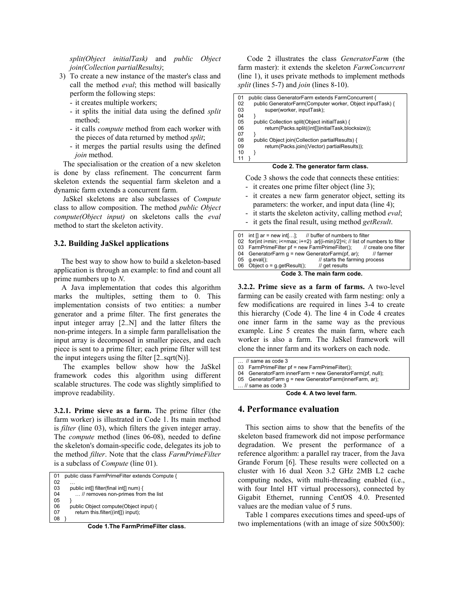*split(Object initialTask)* and *public Object join(Collection partialResults)*;

- 3) To create a new instance of the master's class and call the method *eval*; this method will basically perform the following steps:
	- it creates multiple workers;
	- it splits the initial data using the defined *split* method;
	- it calls *compute* method from each worker with the pieces of data returned by method *split*;
	- it merges the partial results using the defined *join* method.

The specialisation or the creation of a new skeleton is done by class refinement. The concurrent farm skeleton extends the sequential farm skeleton and a dynamic farm extends a concurrent farm.

JaSkel skeletons are also subclasses of *Compute* class to allow composition. The method *public Object compute(Object input)* on skeletons calls the *eval* method to start the skeleton activity.

### **3.2. Building JaSkel applications**

The best way to show how to build a skeleton-based application is through an example: to find and count all prime numbers up to *N*.

A Java implementation that codes this algorithm marks the multiples, setting them to 0. This implementation consists of two entities: a number generator and a prime filter. The first generates the input integer array [2..N] and the latter filters the non-prime integers. In a simple farm parallelisation the input array is decomposed in smaller pieces, and each piece is sent to a prime filter; each prime filter will test the input integers using the filter  $[2 \text{..} \text{sqrt}(N)]$ .

The examples bellow show how the JaSkel framework codes this algorithm using different scalable structures. The code was slightly simplified to improve readability.

**3.2.1. Prime sieve as a farm.** The prime filter (the farm worker) is illustrated in Code 1. Its main method is *filter* (line 03), which filters the given integer array. The *compute* method (lines 06-08), needed to define the skeleton's domain-specific code, delegates its job to the method *filter*. Note that the class *FarmPrimeFilter* is a subclass of *Compute* (line 01).

```
01 public class FarmPrimeFilter extends Compute { 
02 0.3
03 public int[] filter(final int[] num) \{ 04 ... // removes non-primes from
            ... // removes non-primes from the list
05 } 
06 public Object compute(Object input) {<br>07 return this filter((int[1) input):
            return this.filter((int[]) input);
08 }
```


Code 2 illustrates the class *GeneratorFarm* (the farm master): it extends the skeleton *FarmConcurrent*  (line 1), it uses private methods to implement methods *split* (lines 5-7) and *join* (lines 8-10).

| 01 | public class GeneratorFarm extends FarmConcurrent {       |
|----|-----------------------------------------------------------|
| 02 | public GeneratorFarm(Computer worker, Object inputTask) { |
| 03 | super(worker, inputTask);                                 |
| 04 |                                                           |
| 05 | public Collection split(Object initialTask) {             |
| 06 | return(Packs.split((int[])initialTask,blocksize));        |
| 07 |                                                           |
| 08 | public Object join(Collection partialResults) {           |
| 09 | return(Packs.join((Vector) partialResults));              |
| 10 |                                                           |
|    |                                                           |

#### **Code 2. The generator farm class.**

Code 3 shows the code that connects these entities:

- it creates one prime filter object (line 3);
- it creates a new farm generator object, setting its parameters: the worker, and input data (line 4);
- it starts the skeleton activity, calling method *eval*;
- it gets the final result, using method *getResult*.

|                             | 01 int $\left[\right]$ ar = new int $\left[\dots\right]$ ; // buffer of numbers to filter |                                                                                |  |  |  |  |
|-----------------------------|-------------------------------------------------------------------------------------------|--------------------------------------------------------------------------------|--|--|--|--|
|                             | 02 for(int i=min; i<=max; i+=2) ar[(i-min)/2]=i; // list of numbers to filter             |                                                                                |  |  |  |  |
|                             |                                                                                           | 03 FarmPrimeFilter pf = new FarmPrimeFilter(); $\frac{1}{2}$ create one filter |  |  |  |  |
|                             | 04 GeneratorFarm $q = new GenerationFarm(pt, ar);$<br>// farmer                           |                                                                                |  |  |  |  |
|                             | $05$ q.eval();                                                                            | // starts the farming process                                                  |  |  |  |  |
|                             | 06 Object $o = g.getResult()$ ;                                                           | // get results                                                                 |  |  |  |  |
| Code 3. The main farm code. |                                                                                           |                                                                                |  |  |  |  |

**3.2.2. Prime sieve as a farm of farms.** A two-level farming can be easily created with farm nesting: only a few modifications are required in lines 3-4 to create this hierarchy (Code 4). The line 4 in Code 4 creates one inner farm in the same way as the previous example. Line 5 creates the main farm, where each worker is also a farm. The JaSkel framework will clone the inner farm and its workers on each node.

- … // same as code 3
- 03 FarmPrimeFilter pf = new FarmPrimeFilter();
- 04 GeneratorFarm innerFarm = new GeneratorFarm(pf, null);
- 05 GeneratorFarm g = new GeneratorFarm(innerFarm, ar); … // same as code 3

**Code 4. A two level farm.** 

#### **4. Performance evaluation**

This section aims to show that the benefits of the skeleton based framework did not impose performance degradation. We present the performance of a reference algorithm: a parallel ray tracer, from the Java Grande Forum [6]. These results were collected on a cluster with 16 dual Xeon 3.2 GHz 2MB L2 cache computing nodes, with multi-threading enabled (i.e., with four Intel HT virtual processors), connected by Gigabit Ethernet, running CentOS 4.0. Presented values are the median value of 5 runs.

Table 1 compares executions times and speed-ups of two implementations (with an image of size 500x500):